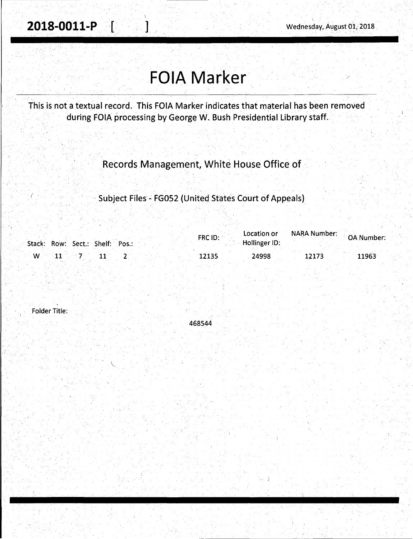## **FOIA Marker**

This is not a textual record. This FOIA Marker indicates that material has been removed during FOIA processing by George W. Bush Presidential Library staff.

Records Management, White House Office of

Subject Files - FG052 (United States Court of Appeals)

| Stack: Row: Sect.: Shelf: Pos.: | FRC ID: | Hollinger ID: | Location or NARA Number: OA Number: |
|---------------------------------|---------|---------------|-------------------------------------|
| $\sim$ W $\sim$ 11 $\sim$ 7     | 12135   | 24998         | 11963<br>12173                      |

Folder Title:

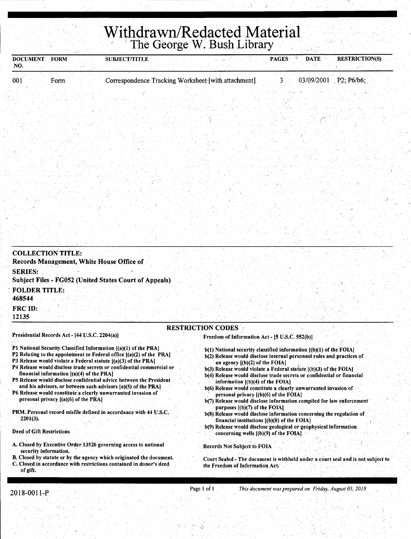## **Withdrawn/Redacted Material** 'The George W. Bush Library\_

| NO.                                                                  | <b>FORM</b>                                                                         | <b>SUBJECT/TITLE</b>                                                                                                                                                                                                                                                                                                                                                                                                                                                                          |                                                                                                                                                                                                                                                                                                                                                                                                                                                                                                                                                                                                                        | <b>PAGES</b> | DATE                  | <b>RESTRICTION(S)</b> |
|----------------------------------------------------------------------|-------------------------------------------------------------------------------------|-----------------------------------------------------------------------------------------------------------------------------------------------------------------------------------------------------------------------------------------------------------------------------------------------------------------------------------------------------------------------------------------------------------------------------------------------------------------------------------------------|------------------------------------------------------------------------------------------------------------------------------------------------------------------------------------------------------------------------------------------------------------------------------------------------------------------------------------------------------------------------------------------------------------------------------------------------------------------------------------------------------------------------------------------------------------------------------------------------------------------------|--------------|-----------------------|-----------------------|
| 001                                                                  | Form                                                                                | Correspondence Tracking Worksheet-[with attachment]                                                                                                                                                                                                                                                                                                                                                                                                                                           |                                                                                                                                                                                                                                                                                                                                                                                                                                                                                                                                                                                                                        | 3. .         | 03/09/2001 P2; P6/b6; |                       |
|                                                                      |                                                                                     |                                                                                                                                                                                                                                                                                                                                                                                                                                                                                               |                                                                                                                                                                                                                                                                                                                                                                                                                                                                                                                                                                                                                        |              |                       |                       |
|                                                                      |                                                                                     |                                                                                                                                                                                                                                                                                                                                                                                                                                                                                               |                                                                                                                                                                                                                                                                                                                                                                                                                                                                                                                                                                                                                        |              |                       |                       |
|                                                                      |                                                                                     |                                                                                                                                                                                                                                                                                                                                                                                                                                                                                               |                                                                                                                                                                                                                                                                                                                                                                                                                                                                                                                                                                                                                        |              |                       |                       |
|                                                                      |                                                                                     |                                                                                                                                                                                                                                                                                                                                                                                                                                                                                               |                                                                                                                                                                                                                                                                                                                                                                                                                                                                                                                                                                                                                        |              |                       |                       |
|                                                                      |                                                                                     |                                                                                                                                                                                                                                                                                                                                                                                                                                                                                               |                                                                                                                                                                                                                                                                                                                                                                                                                                                                                                                                                                                                                        |              |                       |                       |
|                                                                      |                                                                                     |                                                                                                                                                                                                                                                                                                                                                                                                                                                                                               |                                                                                                                                                                                                                                                                                                                                                                                                                                                                                                                                                                                                                        |              |                       |                       |
|                                                                      |                                                                                     |                                                                                                                                                                                                                                                                                                                                                                                                                                                                                               |                                                                                                                                                                                                                                                                                                                                                                                                                                                                                                                                                                                                                        |              |                       |                       |
|                                                                      |                                                                                     |                                                                                                                                                                                                                                                                                                                                                                                                                                                                                               |                                                                                                                                                                                                                                                                                                                                                                                                                                                                                                                                                                                                                        |              |                       |                       |
|                                                                      |                                                                                     |                                                                                                                                                                                                                                                                                                                                                                                                                                                                                               |                                                                                                                                                                                                                                                                                                                                                                                                                                                                                                                                                                                                                        |              |                       |                       |
|                                                                      |                                                                                     |                                                                                                                                                                                                                                                                                                                                                                                                                                                                                               |                                                                                                                                                                                                                                                                                                                                                                                                                                                                                                                                                                                                                        |              |                       |                       |
|                                                                      | <b>COLLECTION TITLE:</b>                                                            | Records Management, White House Office of<br><b>Subject Files - FG052 (United States Court of Appeals)</b>                                                                                                                                                                                                                                                                                                                                                                                    |                                                                                                                                                                                                                                                                                                                                                                                                                                                                                                                                                                                                                        |              |                       |                       |
|                                                                      |                                                                                     |                                                                                                                                                                                                                                                                                                                                                                                                                                                                                               |                                                                                                                                                                                                                                                                                                                                                                                                                                                                                                                                                                                                                        |              |                       |                       |
| <b>SERIES:</b><br><b>FOLDER TITLE:</b><br>468544<br>FRC ID:<br>12135 | Presidential Records Act - [44 U.S.C. 2204(a)]                                      |                                                                                                                                                                                                                                                                                                                                                                                                                                                                                               | <b>RESTRICTION CODES</b>                                                                                                                                                                                                                                                                                                                                                                                                                                                                                                                                                                                               |              |                       |                       |
|                                                                      | financial information $[(a)(4)$ of the PRA]<br>personal privacy [(a)(6) of the PRA] | P1 National Security Classified Information [(a)(1) of the PRA]<br>P2 Relating to the appointment to Federal office [(a)(2) of the PRA]<br>P3 Release would violate a Federal statute $[(a)(3)$ of the PRA]<br>P4 Release would disclose trade secrets or confidential commercial or<br>P5 Release would disclose confidential advice between the President<br>and his advisors, or between such advisors [a](5) of the PRA]<br>P6 Release would constitute a clearly unwarranted invasion of | Freedom of Information Act - [5 U.S.C. 552(b)]<br>$b(1)$ National security classified information $[(b)(1)$ of the FOIA]<br>b(2) Release would disclose internal personnel rules and practices of<br>an agency $[(b)(2)$ of the FOIA]<br>$b(3)$ Release would violate a Federal statute $[(b)(3)$ of the FOIA]<br>b(4) Release would disclose trade secrets or confidential or financial<br>information $[(b)(4)$ of the $FOLA]$<br>b(6) Release would constitute a clearly unwarranted invasion of<br>personal privacy $[(b)(6)$ of the FOIA]<br>b(7) Release would disclose information compiled for law enforcement |              |                       |                       |
| $2201(3)$ .                                                          |                                                                                     | PRM. Personal record misfile defined in accordance with 44 U.S.C.                                                                                                                                                                                                                                                                                                                                                                                                                             | purposes $[(b)(7)$ of the FOIA.<br>b(8) Release would disclose information concerning the regulation of<br>financial institutions $[(b)(8)$ of the FOIA]                                                                                                                                                                                                                                                                                                                                                                                                                                                               |              |                       |                       |
|                                                                      |                                                                                     |                                                                                                                                                                                                                                                                                                                                                                                                                                                                                               | b(9) Release would disclose geological or geophysical information<br>concerning wells $($ (b $)(9)$ ) of the FOIA $\uparrow$                                                                                                                                                                                                                                                                                                                                                                                                                                                                                           |              |                       |                       |
| Deed of Gift Restrictions.<br>security information.                  |                                                                                     | A. Closed by Executive Order 13526 governing access to national<br>B. Closed by statute or by the agency which originated the document.                                                                                                                                                                                                                                                                                                                                                       | <b>Records Not Subject to FOIA</b><br>Court Sealed - The document is withheld under a court seal and is not subject to                                                                                                                                                                                                                                                                                                                                                                                                                                                                                                 |              |                       |                       |